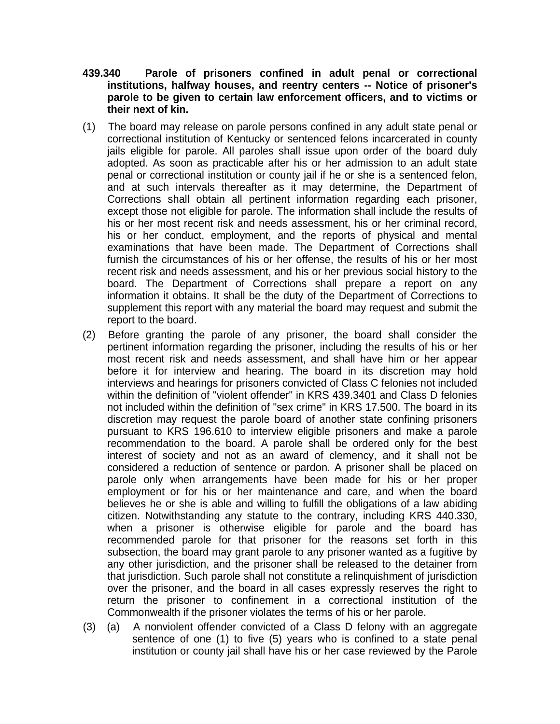- **439.340 Parole of prisoners confined in adult penal or correctional institutions, halfway houses, and reentry centers -- Notice of prisoner's parole to be given to certain law enforcement officers, and to victims or their next of kin.**
- (1) The board may release on parole persons confined in any adult state penal or correctional institution of Kentucky or sentenced felons incarcerated in county jails eligible for parole. All paroles shall issue upon order of the board duly adopted. As soon as practicable after his or her admission to an adult state penal or correctional institution or county jail if he or she is a sentenced felon, and at such intervals thereafter as it may determine, the Department of Corrections shall obtain all pertinent information regarding each prisoner, except those not eligible for parole. The information shall include the results of his or her most recent risk and needs assessment, his or her criminal record, his or her conduct, employment, and the reports of physical and mental examinations that have been made. The Department of Corrections shall furnish the circumstances of his or her offense, the results of his or her most recent risk and needs assessment, and his or her previous social history to the board. The Department of Corrections shall prepare a report on any information it obtains. It shall be the duty of the Department of Corrections to supplement this report with any material the board may request and submit the report to the board.
- (2) Before granting the parole of any prisoner, the board shall consider the pertinent information regarding the prisoner, including the results of his or her most recent risk and needs assessment, and shall have him or her appear before it for interview and hearing. The board in its discretion may hold interviews and hearings for prisoners convicted of Class C felonies not included within the definition of "violent offender" in KRS 439.3401 and Class D felonies not included within the definition of "sex crime" in KRS 17.500. The board in its discretion may request the parole board of another state confining prisoners pursuant to KRS 196.610 to interview eligible prisoners and make a parole recommendation to the board. A parole shall be ordered only for the best interest of society and not as an award of clemency, and it shall not be considered a reduction of sentence or pardon. A prisoner shall be placed on parole only when arrangements have been made for his or her proper employment or for his or her maintenance and care, and when the board believes he or she is able and willing to fulfill the obligations of a law abiding citizen. Notwithstanding any statute to the contrary, including KRS 440.330, when a prisoner is otherwise eligible for parole and the board has recommended parole for that prisoner for the reasons set forth in this subsection, the board may grant parole to any prisoner wanted as a fugitive by any other jurisdiction, and the prisoner shall be released to the detainer from that jurisdiction. Such parole shall not constitute a relinquishment of jurisdiction over the prisoner, and the board in all cases expressly reserves the right to return the prisoner to confinement in a correctional institution of the Commonwealth if the prisoner violates the terms of his or her parole.
- (3) (a) A nonviolent offender convicted of a Class D felony with an aggregate sentence of one (1) to five (5) years who is confined to a state penal institution or county jail shall have his or her case reviewed by the Parole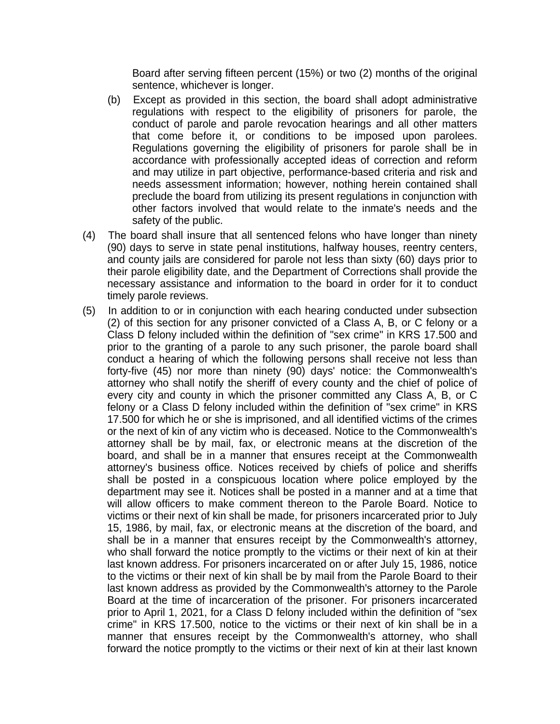Board after serving fifteen percent (15%) or two (2) months of the original sentence, whichever is longer.

- (b) Except as provided in this section, the board shall adopt administrative regulations with respect to the eligibility of prisoners for parole, the conduct of parole and parole revocation hearings and all other matters that come before it, or conditions to be imposed upon parolees. Regulations governing the eligibility of prisoners for parole shall be in accordance with professionally accepted ideas of correction and reform and may utilize in part objective, performance-based criteria and risk and needs assessment information; however, nothing herein contained shall preclude the board from utilizing its present regulations in conjunction with other factors involved that would relate to the inmate's needs and the safety of the public.
- (4) The board shall insure that all sentenced felons who have longer than ninety (90) days to serve in state penal institutions, halfway houses, reentry centers, and county jails are considered for parole not less than sixty (60) days prior to their parole eligibility date, and the Department of Corrections shall provide the necessary assistance and information to the board in order for it to conduct timely parole reviews.
- (5) In addition to or in conjunction with each hearing conducted under subsection (2) of this section for any prisoner convicted of a Class A, B, or C felony or a Class D felony included within the definition of "sex crime" in KRS 17.500 and prior to the granting of a parole to any such prisoner, the parole board shall conduct a hearing of which the following persons shall receive not less than forty-five (45) nor more than ninety (90) days' notice: the Commonwealth's attorney who shall notify the sheriff of every county and the chief of police of every city and county in which the prisoner committed any Class A, B, or C felony or a Class D felony included within the definition of "sex crime" in KRS 17.500 for which he or she is imprisoned, and all identified victims of the crimes or the next of kin of any victim who is deceased. Notice to the Commonwealth's attorney shall be by mail, fax, or electronic means at the discretion of the board, and shall be in a manner that ensures receipt at the Commonwealth attorney's business office. Notices received by chiefs of police and sheriffs shall be posted in a conspicuous location where police employed by the department may see it. Notices shall be posted in a manner and at a time that will allow officers to make comment thereon to the Parole Board. Notice to victims or their next of kin shall be made, for prisoners incarcerated prior to July 15, 1986, by mail, fax, or electronic means at the discretion of the board, and shall be in a manner that ensures receipt by the Commonwealth's attorney, who shall forward the notice promptly to the victims or their next of kin at their last known address. For prisoners incarcerated on or after July 15, 1986, notice to the victims or their next of kin shall be by mail from the Parole Board to their last known address as provided by the Commonwealth's attorney to the Parole Board at the time of incarceration of the prisoner. For prisoners incarcerated prior to April 1, 2021, for a Class D felony included within the definition of "sex crime" in KRS 17.500, notice to the victims or their next of kin shall be in a manner that ensures receipt by the Commonwealth's attorney, who shall forward the notice promptly to the victims or their next of kin at their last known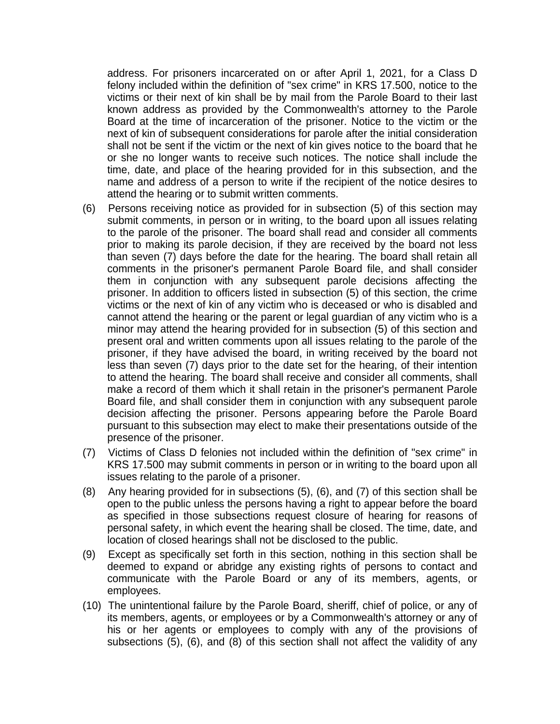address. For prisoners incarcerated on or after April 1, 2021, for a Class D felony included within the definition of "sex crime" in KRS 17.500, notice to the victims or their next of kin shall be by mail from the Parole Board to their last known address as provided by the Commonwealth's attorney to the Parole Board at the time of incarceration of the prisoner. Notice to the victim or the next of kin of subsequent considerations for parole after the initial consideration shall not be sent if the victim or the next of kin gives notice to the board that he or she no longer wants to receive such notices. The notice shall include the time, date, and place of the hearing provided for in this subsection, and the name and address of a person to write if the recipient of the notice desires to attend the hearing or to submit written comments.

- (6) Persons receiving notice as provided for in subsection (5) of this section may submit comments, in person or in writing, to the board upon all issues relating to the parole of the prisoner. The board shall read and consider all comments prior to making its parole decision, if they are received by the board not less than seven (7) days before the date for the hearing. The board shall retain all comments in the prisoner's permanent Parole Board file, and shall consider them in conjunction with any subsequent parole decisions affecting the prisoner. In addition to officers listed in subsection (5) of this section, the crime victims or the next of kin of any victim who is deceased or who is disabled and cannot attend the hearing or the parent or legal guardian of any victim who is a minor may attend the hearing provided for in subsection (5) of this section and present oral and written comments upon all issues relating to the parole of the prisoner, if they have advised the board, in writing received by the board not less than seven (7) days prior to the date set for the hearing, of their intention to attend the hearing. The board shall receive and consider all comments, shall make a record of them which it shall retain in the prisoner's permanent Parole Board file, and shall consider them in conjunction with any subsequent parole decision affecting the prisoner. Persons appearing before the Parole Board pursuant to this subsection may elect to make their presentations outside of the presence of the prisoner.
- (7) Victims of Class D felonies not included within the definition of "sex crime" in KRS 17.500 may submit comments in person or in writing to the board upon all issues relating to the parole of a prisoner.
- (8) Any hearing provided for in subsections (5), (6), and (7) of this section shall be open to the public unless the persons having a right to appear before the board as specified in those subsections request closure of hearing for reasons of personal safety, in which event the hearing shall be closed. The time, date, and location of closed hearings shall not be disclosed to the public.
- (9) Except as specifically set forth in this section, nothing in this section shall be deemed to expand or abridge any existing rights of persons to contact and communicate with the Parole Board or any of its members, agents, or employees.
- (10) The unintentional failure by the Parole Board, sheriff, chief of police, or any of its members, agents, or employees or by a Commonwealth's attorney or any of his or her agents or employees to comply with any of the provisions of subsections (5), (6), and (8) of this section shall not affect the validity of any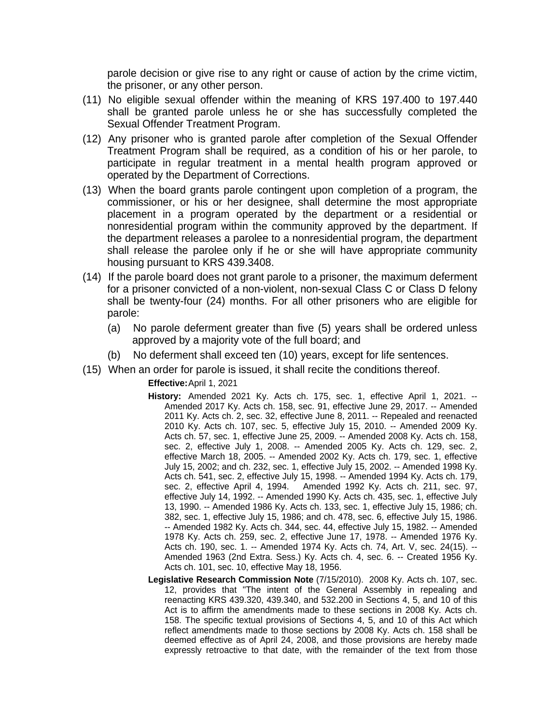parole decision or give rise to any right or cause of action by the crime victim, the prisoner, or any other person.

- (11) No eligible sexual offender within the meaning of KRS 197.400 to 197.440 shall be granted parole unless he or she has successfully completed the Sexual Offender Treatment Program.
- (12) Any prisoner who is granted parole after completion of the Sexual Offender Treatment Program shall be required, as a condition of his or her parole, to participate in regular treatment in a mental health program approved or operated by the Department of Corrections.
- (13) When the board grants parole contingent upon completion of a program, the commissioner, or his or her designee, shall determine the most appropriate placement in a program operated by the department or a residential or nonresidential program within the community approved by the department. If the department releases a parolee to a nonresidential program, the department shall release the parolee only if he or she will have appropriate community housing pursuant to KRS 439.3408.
- (14) If the parole board does not grant parole to a prisoner, the maximum deferment for a prisoner convicted of a non-violent, non-sexual Class C or Class D felony shall be twenty-four (24) months. For all other prisoners who are eligible for parole:
	- (a) No parole deferment greater than five (5) years shall be ordered unless approved by a majority vote of the full board; and
	- (b) No deferment shall exceed ten (10) years, except for life sentences.
- (15) When an order for parole is issued, it shall recite the conditions thereof.

## **Effective:**April 1, 2021

- **History:** Amended 2021 Ky. Acts ch. 175, sec. 1, effective April 1, 2021. -- Amended 2017 Ky. Acts ch. 158, sec. 91, effective June 29, 2017. -- Amended 2011 Ky. Acts ch. 2, sec. 32, effective June 8, 2011. -- Repealed and reenacted 2010 Ky. Acts ch. 107, sec. 5, effective July 15, 2010. -- Amended 2009 Ky. Acts ch. 57, sec. 1, effective June 25, 2009. -- Amended 2008 Ky. Acts ch. 158, sec. 2, effective July 1, 2008. -- Amended 2005 Ky. Acts ch. 129, sec. 2, effective March 18, 2005. -- Amended 2002 Ky. Acts ch. 179, sec. 1, effective July 15, 2002; and ch. 232, sec. 1, effective July 15, 2002. -- Amended 1998 Ky. Acts ch. 541, sec. 2, effective July 15, 1998. -- Amended 1994 Ky. Acts ch. 179, sec. 2, effective April 4, 1994. Amended 1992 Ky. Acts ch. 211, sec. 97, effective July 14, 1992. -- Amended 1990 Ky. Acts ch. 435, sec. 1, effective July 13, 1990. -- Amended 1986 Ky. Acts ch. 133, sec. 1, effective July 15, 1986; ch. 382, sec. 1, effective July 15, 1986; and ch. 478, sec. 6, effective July 15, 1986. -- Amended 1982 Ky. Acts ch. 344, sec. 44, effective July 15, 1982. -- Amended 1978 Ky. Acts ch. 259, sec. 2, effective June 17, 1978. -- Amended 1976 Ky. Acts ch. 190, sec. 1. -- Amended 1974 Ky. Acts ch. 74, Art. V, sec. 24(15). -- Amended 1963 (2nd Extra. Sess.) Ky. Acts ch. 4, sec. 6. -- Created 1956 Ky. Acts ch. 101, sec. 10, effective May 18, 1956.
- **Legislative Research Commission Note** (7/15/2010). 2008 Ky. Acts ch. 107, sec. 12, provides that "The intent of the General Assembly in repealing and reenacting KRS 439.320, 439.340, and 532.200 in Sections 4, 5, and 10 of this Act is to affirm the amendments made to these sections in 2008 Ky. Acts ch. 158. The specific textual provisions of Sections 4, 5, and 10 of this Act which reflect amendments made to those sections by 2008 Ky. Acts ch. 158 shall be deemed effective as of April 24, 2008, and those provisions are hereby made expressly retroactive to that date, with the remainder of the text from those